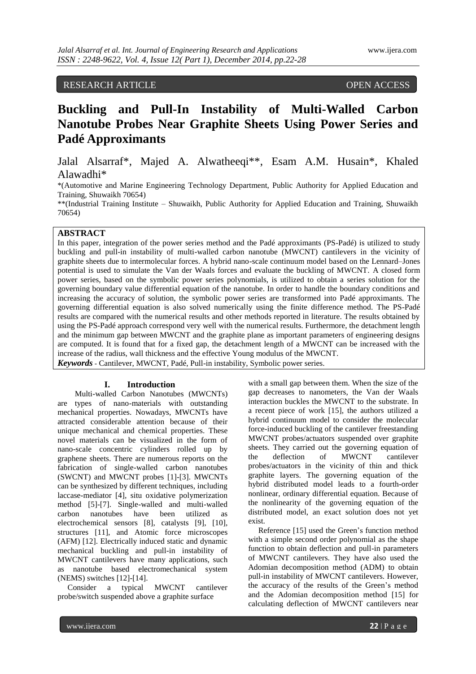# RESEARCH ARTICLE OPEN ACCESS

# **Buckling and Pull-In Instability of Multi-Walled Carbon Nanotube Probes Near Graphite Sheets Using Power Series and Padé Approximants**

Jalal Alsarraf\*, Majed A. Alwatheeqi\*\*, Esam A.M. Husain\*, Khaled Alawadhi\*

\*(Automotive and Marine Engineering Technology Department, Public Authority for Applied Education and Training, Shuwaikh 70654)

\*\*(Industrial Training Institute – Shuwaikh, Public Authority for Applied Education and Training, Shuwaikh 70654)

# **ABSTRACT**

In this paper, integration of the power series method and the Padé approximants (PS-Padé) is utilized to study buckling and pull-in instability of multi-walled carbon nanotube (MWCNT) cantilevers in the vicinity of graphite sheets due to intermolecular forces. A hybrid nano-scale continuum model based on the Lennard–Jones potential is used to simulate the Van der Waals forces and evaluate the buckling of MWCNT. A closed form power series, based on the symbolic power series polynomials, is utilized to obtain a series solution for the governing boundary value differential equation of the nanotube. In order to handle the boundary conditions and increasing the accuracy of solution, the symbolic power series are transformed into Padé approximants. The governing differential equation is also solved numerically using the finite difference method. The PS-Padé results are compared with the numerical results and other methods reported in literature. The results obtained by using the PS-Padé approach correspond very well with the numerical results. Furthermore, the detachment length and the minimum gap between MWCNT and the graphite plane as important parameters of engineering designs are computed. It is found that for a fixed gap, the detachment length of a MWCNT can be increased with the increase of the radius, wall thickness and the effective Young modulus of the MWCNT. *Keywords* - Cantilever, MWCNT, Padé, Pull-in instability, Symbolic power series.

# **I. Introduction**

Multi-walled Carbon Nanotubes (MWCNTs) are types of nano-materials with outstanding mechanical properties. Nowadays, MWCNTs have attracted considerable attention because of their unique mechanical and chemical properties. These novel materials can be visualized in the form of nano-scale concentric cylinders rolled up by graphene sheets. There are numerous reports on the fabrication of single-walled carbon nanotubes (SWCNT) and MWCNT probes [1]-[3]. MWCNTs can be synthesized by different techniques, including laccase-mediator [4], situ oxidative polymerization method [5]-[7]. Single-walled and multi-walled carbon nanotubes have been utilized as electrochemical sensors [8], catalysts [9], [10], structures [11], and Atomic force microscopes (AFM) [12]. Electrically induced static and dynamic mechanical buckling and pull-in instability of MWCNT cantilevers have many applications, such as nanotube based electromechanical system (NEMS) switches [12]-[14].

 Consider a typical MWCNT cantilever probe/switch suspended above a graphite surface

with a small gap between them. When the size of the gap decreases to nanometers, the Van der Waals interaction buckles the MWCNT to the substrate. In a recent piece of work [15], the authors utilized a hybrid continuum model to consider the molecular force-induced buckling of the cantilever freestanding MWCNT probes/actuators suspended over graphite sheets. They carried out the governing equation of the deflection of MWCNT cantilever probes/actuators in the vicinity of thin and thick graphite layers. The governing equation of the hybrid distributed model leads to a fourth-order nonlinear, ordinary differential equation. Because of the nonlinearity of the governing equation of the distributed model, an exact solution does not yet exist.

 Reference [15] used the Green's function method with a simple second order polynomial as the shape function to obtain deflection and pull-in parameters of MWCNT cantilevers. They have also used the Adomian decomposition method (ADM) to obtain pull-in instability of MWCNT cantilevers. However, the accuracy of the results of the Green's method and the Adomian decomposition method [15] for calculating deflection of MWCNT cantilevers near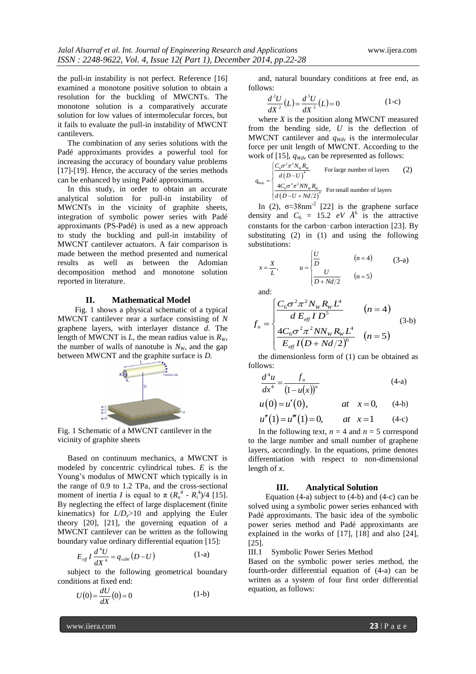the pull-in instability is not perfect. Reference [16] examined a monotone positive solution to obtain a resolution for the buckling of MWCNTs. The monotone solution is a comparatively accurate solution for low values of intermolecular forces, but it fails to evaluate the pull-in instability of MWCNT cantilevers.

 The combination of any series solutions with the Padé approximants provides a powerful tool for increasing the accuracy of boundary value problems [17]-[19]. Hence, the accuracy of the series methods can be enhanced by using Padé approximants.

 In this study, in order to obtain an accurate analytical solution for pull-in instability of MWCNTs in the vicinity of graphite sheets, integration of symbolic power series with Padé approximants (PS-Padé) is used as a new approach to study the buckling and pull-in instability of MWCNT cantilever actuators. A fair comparison is made between the method presented and numerical results as well as between the Adomian decomposition method and monotone solution reported in literature.

#### **II. Mathematical Model**

Fig. 1 shows a physical schematic of a typical MWCNT cantilever near a surface consisting of *N* graphene layers, with interlayer distance *d*. The length of MWCNT is *L*, the mean radius value is  $R_W$ , the number of walls of nanotube is  $N_W$ , and the gap between MWCNT and the graphite surface is *D.*



Fig. 1 Schematic of a MWCNT cantilever in the vicinity of graphite sheets

 Based on continuum mechanics, a MWCNT is modeled by concentric cylindrical tubes. *E* is the Young's modulus of MWCNT which typically is in the range of 0.9 to 1.2 TPa, and the cross-sectional moment of inertia *I* is equal to  $\pi (R_o^4 - R_i^4)/4$  [15]. By neglecting the effect of large displacement (finite kinematics) for  $L/D_e > 10$  and applying the Euler theory [20], [21], the governing equation of a MWCNT cantilever can be written as the following boundary value ordinary differential equation [15]:

$$
E_{\text{eff}} I \frac{d^4 U}{dX^4} = q_{\text{vdW}} (D - U) \tag{1-a}
$$

 subject to the following geometrical boundary conditions at fixed end:

$$
U(0) = \frac{dU}{dX}(0) = 0
$$
 (1-b)

 and, natural boundary conditions at free end, as follows:

$$
\frac{d^2U}{dX^2}(L) = \frac{d^3U}{dX^3}(L) = 0
$$
 (1-c)

 where *X* is the position along MWCNT measured from the bending side, *U* is the deflection of MWCNT cantilever and  $q_{Wdv}$  is the intermolecular force per unit length of MWCNT. According to the

work of [15], 
$$
q_{Wdv}
$$
 can be represented as follows:  
\n
$$
q_{Wdv} = \begin{cases}\n\frac{C_6 \sigma^2 \pi^2 N_W R_W}{d (D-U)^4}\n\end{cases}
$$
\nFor large number of layers (2)  
\n
$$
\frac{4C_6 \sigma^2 \pi^2 N N_W R_W}{d (D-U + Nd/2)^4}
$$
 For small number of layers

In (2),  $\sigma \approx 38$ nm<sup>-2</sup> [22] is the graphene surface density and  $C_6 = 15.2 eV \hat{A}^6$  is the attractive constants for the carbon–carbon interaction [23]. By substituting (2) in (1) and using the following substitutions:

$$
x = \frac{X}{L}, \qquad u = \begin{cases} \frac{U}{D} & (n = 4) \\ \frac{U}{D + Nd/2} & (n = 5) \end{cases}
$$
 (3-a)

and:

length of *x*.

$$
f_{n} = \begin{cases} \frac{C_{6}\sigma^{2}\pi^{2}N_{W}R_{W}L^{4}}{dE_{eff}ID^{5}} & (n = 4) \\ \frac{4C_{6}\sigma^{2}\pi^{2}NN_{W}R_{W}L^{4}}{E_{eff}I(D+Nd/2)^{6}} & (n = 5) \end{cases}
$$
(3-b)

 the dimensionless form of (1) can be obtained as follows:

$$
\frac{d^4u}{dx^4} = \frac{f_n}{(1 - u(x))^n} \tag{4-a}
$$

$$
ax \t(1-u(x))
$$
  
 
$$
u(0) = u'(0), \t at \t x = 0, \t (4-b)
$$
  
 
$$
u''(1) = u'''(1) = 0, \t at \t x = 1 \t (4-c)
$$

In the following text, 
$$
n = 4
$$
 and  $n = 5$  correspond  
to the large number and small number of graphene  
layers, accordingly. In the equations, prime denotes  
differentiation with respect to non-dimensional

#### **III. Analytical Solution**

Equation (4-a) subject to (4-b) and (4-c) can be solved using a symbolic power series enhanced with Padé approximants. The basic idea of the symbolic power series method and Padé approximants are explained in the works of [17], [18] and also [24], [25].

III.1 Symbolic Power Series Method

Based on the symbolic power series method, the fourth-order differential equation of (4-a) can be written as a system of four first order differential equation, as follows:

www.ijera.com **23** | P a g e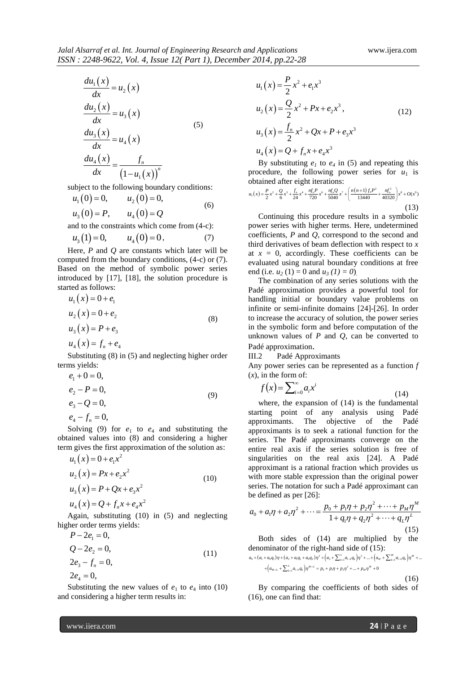$$
\frac{du_1(x)}{dx} = u_2(x)
$$
\n
$$
\frac{du_2(x)}{dx} = u_3(x)
$$
\n
$$
\frac{du_3(x)}{dx} = u_4(x)
$$
\n
$$
\frac{du_4(x)}{dx} = \frac{f_n}{(1 - u_1(x))}^{n}
$$
\n(5)

subject to the following boundary conditions:  
\n
$$
u_1(0) = 0
$$
,  $u_2(0) = 0$ , (6)  
\n $u_3(0) = P$ ,  $u_4(0) = Q$ 

and to the constraints which come from (4-c):

$$
u_3(1)=0
$$
,  $u_4(0)=0$ , (7)

 Here, *P* and *Q* are constants which later will be computed from the boundary conditions, (4-c) or (7). Based on the method of symbolic power series introduced by [17], [18], the solution procedure is started as follows:

$$
u_1(x) = 0 + e_1
$$
  
\n
$$
u_2(x) = 0 + e_2
$$
  
\n
$$
u_3(x) = P + e_3
$$
  
\n
$$
u_4(x) = f_n + e_4
$$
  
\n(8)

 Substituting (8) in (5) and neglecting higher order terms yields:

$$
e_1 + 0 = 0,
$$
  
\n
$$
e_2 - P = 0,
$$
  
\n
$$
e_3 - Q = 0,
$$
  
\n
$$
e_4 - f_n = 0,
$$
\n(9)

$$
\begin{array}{cc}\n c_4 & j_n \end{array} \quad \text{or} \quad \begin{array}{cc}\n c_4 & c_4 \\
 c_5 & c_6\n \end{array}
$$

Solving (9) for  $e_1$  to  $e_4$  and substituting the obtained values into (8) and considering a higher term gives the first approximation of the solution as:

$$
u_1(x) = 0 + e_1 x^2
$$
  
\n
$$
u_2(x) = Px + e_2 x^2
$$
  
\n
$$
u_3(x) = P + Qx + e_3 x^2
$$
  
\n
$$
u_4(x) = Q + f_n x + e_4 x^2
$$
\n(10)

 Again, substituting (10) in (5) and neglecting higher order terms yields:

$$
P - 2e_1 = 0,
$$
  
\n
$$
Q - 2e_2 = 0,
$$
  
\n
$$
2e_3 - f_n = 0,
$$
  
\n
$$
2e_4 = 0,
$$
  
\n(11)

Substituting the new values of  $e_1$  to  $e_4$  into (10) and considering a higher term results in:

$$
u_1(x) = \frac{P}{2}x^2 + e_1x^3
$$
  
\n
$$
u_2(x) = \frac{Q}{2}x^2 + Px + e_2x^3,
$$
  
\n
$$
u_3(x) = \frac{f_n}{2}x^2 + Qx + P + e_3x^3
$$
  
\n
$$
u_4(x) = Q + f_nx + e_4x^3
$$

By substituting  $e_1$  to  $e_4$  in (5) and repeating this procedure, the following power series for *u*<sub>1</sub> is obtained after eight iterations:<br>  $u_1(x) = \frac{P}{2}x^2 + \frac{Q}{6}x^3 + \frac{f_1}{24}x^4 + \frac{\eta f_1 P}{720}x^6 + \frac{\eta f_0 Q}{5040}x^7 + \left(\frac{n(n+1)f_0 P^2}{134400} + \frac{\eta f_0^2}{40320}\right)x^8 + O(x^9)$ 

ploce the following power series for 
$$
u_1
$$
 is obtained after eight iterations:  
\n
$$
u_1(x) = \frac{P}{2}x^2 + \frac{Q}{6}x^3 + \frac{f_a}{24}x^4 + \frac{\eta f_a P}{720}x^6 + \frac{\eta f_a Q}{5040}x^7 + \left(\frac{n(n+1)f_a P^2}{13440} + \frac{\eta f_a^2}{40320}\right)x^8 + O(x^9)
$$
\n(13)

 Continuing this procedure results in a symbolic power series with higher terms. Here, undetermined coefficients, *P* and *Q*, correspond to the second and third derivatives of beam deflection with respect to *x* at  $x = 0$ , accordingly. These coefficients can be evaluated using natural boundary conditions at free end (i.e.  $u_2(1) = 0$  and  $u_3(1) = 0$ )

 The combination of any series solutions with the Padé approximation provides a powerful tool for handling initial or boundary value problems on infinite or semi-infinite domains [24]-[26]. In order to increase the accuracy of solution, the power series in the symbolic form and before computation of the unknown values of  $P$  and  $Q$ , can be converted to Padé approximation.

III.2 Padé Approximants

Any power series can be represented as a function *f*   $(x)$ , in the form of:

$$
f(x) = \sum_{i=0}^{\infty} a_i x^i
$$
 (14)

 where, the expansion of (14) is the fundamental starting point of any analysis using Padé approximants. The objective of the Padé approximants is to seek a rational function for the series. The Padé approximants converge on the entire real axis if the series solution is free of singularities on the real axis [24]. A Padé approximant is a rational fraction which provides us with more stable expression than the original power series. The notation for such a Padé approximant can<br>be defined as per [26]:<br> $a_+ + a_+ n + a_- n^2 + \cdots = \frac{p_0 + p_1 \eta + p_2 \eta^2 + \cdots + p_M \eta^M}{p_M}$  $1 \text{ and }$  approximant can<br> $1 \eta + p_2 \eta^2 + \cdots + p_M \eta^M$ 

be defined as per [26]:  
\n
$$
a_0 + a_1 \eta + a_2 \eta^2 + \dots = \frac{p_0 + p_1 \eta + p_2 \eta^2 + \dots + p_M \eta^M}{1 + q_1 \eta + q_2 \eta^2 + \dots + q_L \eta^L}
$$
\n(15)

Both sides of (14) are multiplied by the<br>denominator of the right-hand side of (15):<br> $a_0 + (a_1 + a_0 q_1)\eta + (a_2 + a_0 q_1 + a_0 q_2)\eta^2 + (a_3 + \sum_{i=1}^3 a_{i-4} q_i)\eta^3 + ... + (a_M + \sum_{i=1}^N a_{i-4} q_i)\eta^M + ...$ Both sides of (14) are multiplied by the<br>denominator of the right-hand side of (15):<br> $a_0 + (a_1 + a_0 q_1) \eta + (a_2 + a_1 q_1 + a_0 q_2) \eta^2 + (a_3 + \sum_{i=1}^3 a_{i-k} q_k) \eta^3 + ... + (a_M + \sum_{i=1}^M a_{i-k} q_i) \eta^M + ...$ 

Both sides of (14) are multiplied by the  
\nenominator of the right-hand side of (15):  
\n
$$
+(a_1 + a_0q_1)\eta + (a_2 + a_1q_1 + a_0q_2)\eta^2 + (a_3 + \sum_{k=1}^3 a_{l-k}q_k)\eta^3 + ... + (a_M + \sum_{k=1}^M a_{l-k}q_k)\eta^M + ... + (a_{M+L} + \sum_{k=1}^L a_{l-k}q_k)\eta^{M+L} = p_0 + p_1\eta + p_2\eta^2 + ... + p_M\eta^M + 0
$$

(16)

 By comparing the coefficients of both sides of (16), one can find that: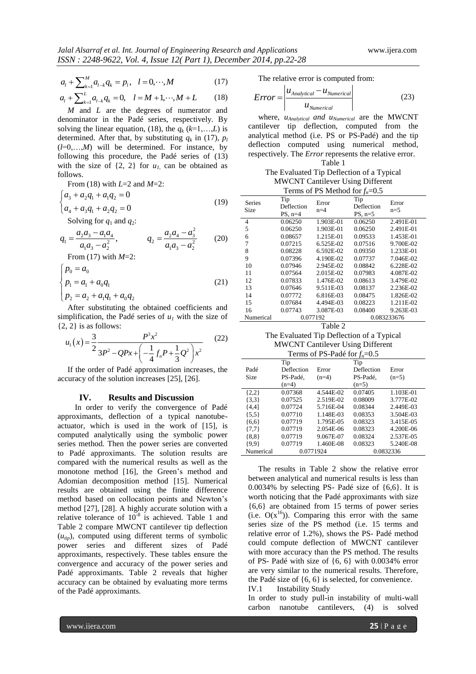$$
a_{l} + \sum_{k=1}^{M} a_{l-k} q_{k} = p_{l}, \quad l = 0, \cdots, M
$$
\n
$$
a_{l} + \sum_{k=1}^{L} a_{l-k} q_{k} = 0, \quad l = M+1, \cdots, M+L \tag{18}
$$

$$
a_{l} + \sum_{k=1}^{L} a_{l-k} q_{k} = p_{l}, \quad l = 0, \dots, m
$$
  
\n
$$
a_{l} + \sum_{k=1}^{L} a_{l-k} q_{k} = 0, \quad l = M+1, \dots, M+L \quad (18)
$$

 *M* and *L* are the degrees of numerator and denominator in the Padé series, respectively. By solving the linear equation, (18), the  $q_k$  ( $k=1,...,L$ ) is determined. After that, by substituting  $q_k$  in (17),  $p_l$  $(l=0,...,M)$  will be determined. For instance, by following this procedure, the Padé series of (13) with the size of  $\{2, 2\}$  for  $u_l$  can be obtained as follows.

From (18) with *L*=2 and *M*=2:

$$
\begin{cases} a_3 + a_2 q_1 + a_1 q_2 = 0 \\ a_4 + a_3 q_1 + a_2 q_2 = 0 \end{cases}
$$
 (19)

Solving for 
$$
q_1
$$
 and  $q_2$ :  
\n
$$
q_1 = \frac{a_2 a_3 - a_1 a_4}{a_1 a_3 - a_2^2}, \qquad q_2 = \frac{a_2 a_4 - a_3^2}{a_1 a_3 - a_2^2} \qquad (20)
$$

From (17) with *M*=2:

$$
\begin{cases}\np_0 = a_0 \\
p_1 = a_1 + a_0 q_1 \\
p_2 = a_2 + a_1 q_1 + a_0 q_2\n\end{cases}
$$
\n(21)

 After substituting the obtained coefficients and simplification, the Padé series of  $u_1$  with the size of

{2, 2} is as follows:  
\n
$$
u_1(x) = \frac{3}{2} \frac{P^3 x^2}{3P^2 - QPx + \left(-\frac{1}{4}f_nP + \frac{1}{3}Q^2\right)x^2}
$$
\n(22)

 If the order of Padé approximation increases, the accuracy of the solution increases [25], [26].

#### **IV. Results and Discussion**

In order to verify the convergence of Padé approximants, deflection of a typical nanotubeactuator, which is used in the work of [15], is computed analytically using the symbolic power series method. Then the power series are converted to Padé approximants. The solution results are compared with the numerical results as well as the monotone method [16], the Green's method and Adomian decomposition method [15]. Numerical results are obtained using the finite difference method based on collocation points and Newton's method [27], [28]. A highly accurate solution with a relative tolerance of  $10^{-8}$  is achieved. Table 1 and Table 2 compare MWCNT cantilever tip deflection  $(u_{tip})$ , computed using different terms of symbolic power series and different sizes of Padé approximants, respectively. These tables ensure the convergence and accuracy of the power series and Padé approximants. Table 2 reveals that higher accuracy can be obtained by evaluating more terms of the Padé approximants.

The relative error is computed from:

$$
Error = \left| \frac{u_{Analytical} - u_{Numerical}}{u_{Numerical}} \right| \tag{23}
$$

 where, *uAnalytical and uNumerical* are the MWCNT cantilever tip deflection, computed from the analytical method (i.e. PS or PS-Padé) and the tip deflection computed using numerical method, respectively. The *Error* represents the relative error.

Table 1

## The Evaluated Tip Deflection of a Typical MWCNT Cantilever Using Different Terms of PS Method for  $f<sub>n</sub>=0.5$

| $\sim$ $\mu$                    |                                |                |                                |                |  |  |  |  |
|---------------------------------|--------------------------------|----------------|--------------------------------|----------------|--|--|--|--|
| <b>Series</b><br>Size           | Tip<br>Deflection<br>$PS, n=4$ | Error<br>$n=4$ | Tip<br>Deflection<br>$PS, n=5$ | Error<br>$n=5$ |  |  |  |  |
| 4                               | 0.06250                        | 1.903E-01      | 0.06250                        | 2.491E-01      |  |  |  |  |
| 5                               | 0.06250                        | 1.903E-01      | 0.06250                        | 2.491E-01      |  |  |  |  |
| 6                               | 0.08657                        | 1.215E-01      | 0.09533                        | 1.453E-01      |  |  |  |  |
| 7                               | 0.07215                        | 6.525E-02      | 0.07516                        | 9.700E-02      |  |  |  |  |
| 8                               | 0.08228                        | 6.592E-02      | 0.09350                        | 1.233E-01      |  |  |  |  |
| 9                               | 0.07396                        | 4.190E-02      | 0.07737                        | 7.046E-02      |  |  |  |  |
| 10                              | 0.07946                        | 2.945E-02      | 0.08842                        | 6.228E-02      |  |  |  |  |
| 11                              | 0.07564                        | 2.015E-02      | 0.07983                        | 4.087E-02      |  |  |  |  |
| 12                              | 0.07833                        | 1.476E-02      | 0.08613                        | 3.479E-02      |  |  |  |  |
| 13                              | 0.07646                        | 9.511E-03      | 0.08137                        | 2.236E-02      |  |  |  |  |
| 14                              | 0.07772                        | 6.816E-03      | 0.08475                        | 1.826E-02      |  |  |  |  |
| 15                              | 0.07684                        | 4.494E-03      | 0.08223                        | 1.211E-02      |  |  |  |  |
| 16                              | 0.07743                        | 3.087E-03      | 0.08400                        | 9.263E-03      |  |  |  |  |
| Numerical                       | 0.077192                       |                | 0.083233676                    |                |  |  |  |  |
| ---<br>$\overline{\phantom{a}}$ |                                |                |                                |                |  |  |  |  |

Table 2

The Evaluated Tip Deflection of a Typical MWCNT Cantilever Using Different Terms of PS-Padé for *fn*=0.5

|           | Tip        |                     | Tip        |           |  |
|-----------|------------|---------------------|------------|-----------|--|
| Padé      | Deflection | Error               | Deflection | Error     |  |
| Size      | PS-Padé,   | PS-Padé,<br>$(n=4)$ |            | $(n=5)$   |  |
|           | $(n=4)$    |                     | $(n=5)$    |           |  |
| ${2,2}$   | 0.07368    | 4.544E-02           | 0.07405    | 1.103E-01 |  |
| $\{3,3\}$ | 0.07525    | 2.519E-02           | 0.08009    | 3.777E-02 |  |
| ${4.41}$  | 0.07724    | 5.716E-04           | 0.08344    | 2.449E-03 |  |
| ${5.5}$   | 0.07710    | 1.148E-03           | 0.08353    | 3.504E-03 |  |
| ${6,6}$   | 0.07719    | 1.795E-05           | 0.08323    | 3.415E-05 |  |
| ${7.7}$   | 0.07719    | 2.054E-06           | 0.08323    | 4.200E-06 |  |
| ${8.8}$   | 0.07719    | 9.067E-07           | 0.08324    | 2.537E-05 |  |
| ${9.9}$   | 0.07719    | 1.460E-08           | 0.08323    | 5.240E-08 |  |
| Numerical | 0.0771924  |                     | 0.0832336  |           |  |

 The results in Table 2 show the relative error between analytical and numerical results is less than 0.0034% by selecting PS- Padé size of {6,6}. It is worth noticing that the Padé approximants with size {6,6} are obtained from 15 terms of power series (i.e.  $O(x^{16})$ ). Comparing this error with the same series size of the PS method (i.e. 15 terms and relative error of 1.2%), shows the PS- Padé method could compute deflection of MWCNT cantilever with more accuracy than the PS method. The results of PS- Padé with size of  $\{6, 6\}$  with 0.0034% error are very similar to the numerical results. Therefore, the Padé size of {6, 6} is selected, for convenience. IV.1 Instability Study

In order to study pull-in instability of multi-wall carbon nanotube cantilevers, (4) is solved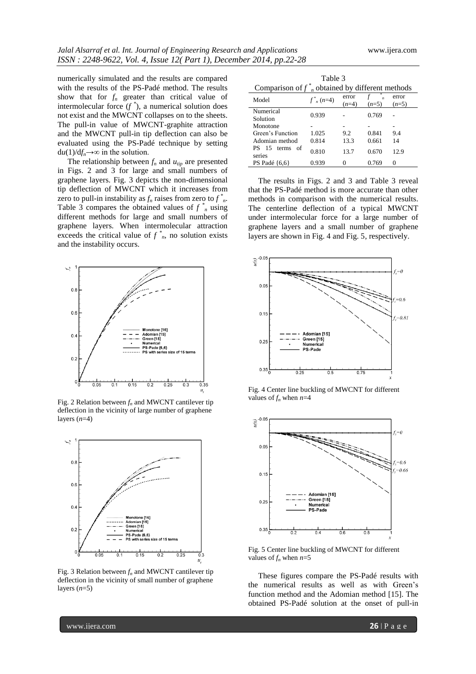numerically simulated and the results are compared with the results of the PS-Padé method. The results show that for  $f_n$  greater than critical value of intermolecular force  $(f^*)$ , a numerical solution does not exist and the MWCNT collapses on to the sheets. The pull-in value of MWCNT-graphite attraction and the MWCNT pull-in tip deflection can also be evaluated using the PS-Padé technique by setting  $du(1)/df_n \rightarrow \infty$  in the solution.

The relationship between  $f_n$  and  $u_{tip}$  are presented in Figs. 2 and 3 for large and small numbers of graphene layers. Fig. 3 depicts the non-dimensional tip deflection of MWCNT which it increases from zero to pull-in instability as  $f_n$  raises from zero to  $f^*_{n}$ . Table 3 compares the obtained values of  $f^*$  using different methods for large and small numbers of graphene layers. When intermolecular attraction exceeds the critical value of  $f^*_{n}$ , no solution exists and the instability occurs.



Fig. 2 Relation between *f<sup>n</sup>* and MWCNT cantilever tip deflection in the vicinity of large number of graphene layers (*n*=4)



Fig. 3 Relation between  $f_n$  and MWCNT cantilever tip deflection in the vicinity of small number of graphene layers  $(n=5)$ 

| Table 3<br>Comparison of $f_{n}^{*}$ obtained by different methods |                |                  |         |                  |  |  |  |  |
|--------------------------------------------------------------------|----------------|------------------|---------|------------------|--|--|--|--|
| Model                                                              | $f^*_{n}(n=4)$ | error<br>$(n=4)$ | $(n=5)$ | error<br>$(n=5)$ |  |  |  |  |
| Numerical<br>Solution                                              | 0.939          |                  | 0.769   |                  |  |  |  |  |
| Monotone                                                           |                |                  |         |                  |  |  |  |  |
| Green's Function                                                   | 1.025          | 9.2              | 0.841   | 9.4              |  |  |  |  |
| Adomian method                                                     | 0.814          | 13.3             | 0.661   | 14               |  |  |  |  |
| 15 terms of<br>РS<br>series                                        | 0.810          | 13.7             | 0.670   | 12.9             |  |  |  |  |
| PS Padé $\{6,6\}$                                                  | 0.939          | Ω                | 0.769   |                  |  |  |  |  |

 The results in Figs. 2 and 3 and Table 3 reveal that the PS-Padé method is more accurate than other methods in comparison with the numerical results. The centerline deflection of a typical MWCNT under intermolecular force for a large number of graphene layers and a small number of graphene layers are shown in Fig. 4 and Fig. 5, respectively.



Fig. 4 Center line buckling of MWCNT for different values of  $f_n$  when  $n=4$ 



Fig. 5 Center line buckling of MWCNT for different values of  $f_n$  when  $n=5$ 

 These figures compare the PS-Padé results with the numerical results as well as with Green's function method and the Adomian method [15]. The obtained PS-Padé solution at the onset of pull-in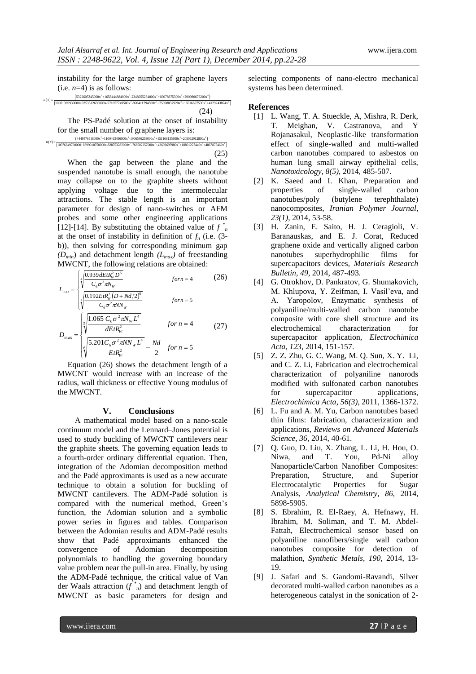instability for the large number of graphene layers (i.e.  $n=4$ ) is as follows:<br>  $\frac{(5322605345000x^2+1658444884000x^1\cdot2348055234000x^4+69078875300x^5+290980676200x^6)}{59001369930000+9353512630000x-571657749500x^3+920941$ (i.e.  $n=4$ ) is as follows:<br>  $(5322605345000x^2+1658444884000x^3+2348055234000x^4+69078875300x^5+290980676200x^6)$ 11.8220111y 101 The Targe Humber of graphene rayers<br>
(i.e.  $n=4$ ) is as follows:<br>  $\frac{(5322605345000x^2+1658444884000x^3-2348055234000x^4+69078875300x^5+290980576200x^6)}{10901369930000+9353512630000x-571657749500x^3-920411$ 

 2 3 4 5 6 *u x*

(24)

 The PS-Padé solution at the onset of instability for the small number of graphene layers is: The PS-Padé solution at the onset of instability<br>for the small number of graphene layers is:<br> $\frac{(449476518000x^2+1100463496000x^2-1906546258000x^4+151168135800x^4+208062912800x^6)}{(10976849700000+8699010750000x+82895328200$  $(4449476518000x^2+1100463496000x^3-1906546258000x^4+151168135800x^5+208062912800x^6)$ 

(25) When the gap between the plane and the suspended nanotube is small enough, the nanotube may collapse on to the graphite sheets without applying voltage due to the intermolecular attractions. The stable length is an important parameter for design of nano-switches or AFM probes and some other engineering applications [12]-[14]. By substituting the obtained value of  $f^*$ at the onset of instability in definition of  $f_n$  (i.e. (3b)), then solving for corresponding minimum gap *(Dmin*) and detachment length *(Lmax)* of freestanding MWCNT, the following relations are obtained:

$$
L_{\text{max}} = \begin{cases} \sqrt[4]{\frac{0.939 \, dE t R_{\text{w}}^2 D^5}{C_6 \sigma^2 \pi N_{\text{w}}}} & \text{for } n = 4\\ \sqrt[4]{\frac{0.192 E t R_{\text{w}}^2 (D + Nd/2)^6}{(0.192 E t R_{\text{w}}^2 (D + Nd/2)^6}} & \text{for } n = 5 \end{cases}
$$
 (26)

$$
D_{\max} = \begin{cases} \sqrt[4]{\frac{0.72 \text{ EIR}_W (B + 1) \alpha_l z_j}{C_6 \sigma^2 \pi N_W}} & \text{for } n = 5\\ \sqrt[5]{\frac{1.065 C_6 \sigma^2 \pi N_W L^4}{dE t R_W^2}} & \text{for } n = 4\\ \sqrt[6]{\frac{5.201 C_6 \sigma^2 \pi N N_W L^4}{E t R_W^2}} - \frac{Nd}{2} & \text{for } n = 5 \end{cases} \tag{27}
$$

 Equation (26) shows the detachment length of a MWCNT would increase with an increase of the radius, wall thickness or effective Young modulus of the MWCNT.

#### **V. Conclusions**

A mathematical model based on a nano-scale continuum model and the Lennard–Jones potential is used to study buckling of MWCNT cantilevers near the graphite sheets. The governing equation leads to a fourth-order ordinary differential equation. Then, integration of the Adomian decomposition method and the Padé approximants is used as a new accurate technique to obtain a solution for buckling of MWCNT cantilevers. The ADM-Padé solution is compared with the numerical method, Green's function, the Adomian solution and a symbolic power series in figures and tables. Comparison between the Adomian results and ADM-Padé results show that Padé approximants enhanced the convergence of Adomian decomposition polynomials to handling the governing boundary value problem near the pull-in area. Finally, by using the ADM-Padé technique, the critical value of Van der Waals attraction  $(f^*_{n})$  and detachment length of MWCNT as basic parameters for design and

selecting components of nano-electro mechanical systems has been determined.

### **References**

- [1] L. Wang, T. A. Stueckle, A, Mishra, R. Derk, T. Meighan, V. Castranova, and Y Rojanasakul, Neoplastic-like transformation effect of single-walled and multi-walled carbon nanotubes compared to asbestos on human lung small airway epithelial cells, *Nanotoxicology, 8(5)*, 2014, 485-507.
- [2] K. Saeed and I. Khan, Preparation and properties of single-walled carbon nanotubes/poly (butylene terephthalate) nanocomposites, *Iranian Polymer Journal, 23(1)*, 2014, 53-58.
- [3] H. Zanin, E. Saito, H. J. Ceragioli, V. Baranauskas, and E. J. Corat, Reduced graphene oxide and vertically aligned carbon nanotubes superhydrophilic films for supercapacitors devices, *Materials Research Bulletin, 49*, 2014, 487-493.
- [4] G. Otrokhov, D. Pankratov, G. Shumakovich, M. Khlupova, Y. Zeifman, I. Vasil'eva, and A. Yaropolov, Enzymatic synthesis of polyaniline/multi-walled carbon nanotube composite with core shell structure and its electrochemical characterization for supercapacitor application, *Electrochimica Acta, 123*, 2014, 151-157.
- [5] Z. Z. Zhu, G. C. Wang, M. Q. Sun, X. Y. Li, and C. Z. Li, Fabrication and electrochemical characterization of polyaniline nanorods modified with sulfonated carbon nanotubes for supercapacitor applications, *Electrochimica Acta, 56(3)*, 2011, 1366-1372.
- [6] L. Fu and A. M. Yu, Carbon nanotubes based thin films: fabrication, characterization and applications, *Reviews on Advanced Materials Science, 36*, 2014, 40-61.
- [7] Q. Guo, D. Liu, X. Zhang, L. Li, H. Hou, O. Niwa, and T. You, Pd-Ni alloy Nanoparticle/Carbon Nanofiber Composites: Preparation, Structure, and Superior Electrocatalytic Properties for Sugar Analysis, *Analytical Chemistry, 86*, 2014, 5898-5905.
- [8] S. Ebrahim, R. El-Raey, A. Hefnawy, H. Ibrahim, M. Soliman, and T. M. Abdel-Fattah, Electrochemical sensor based on polyaniline nanofibers/single wall carbon nanotubes composite for detection of malathion, *Synthetic Metals, 190*, 2014, 13- 19.
- [9] J. Safari and S. Gandomi-Ravandi, Silver decorated multi-walled carbon nanotubes as a heterogeneous catalyst in the sonication of 2-